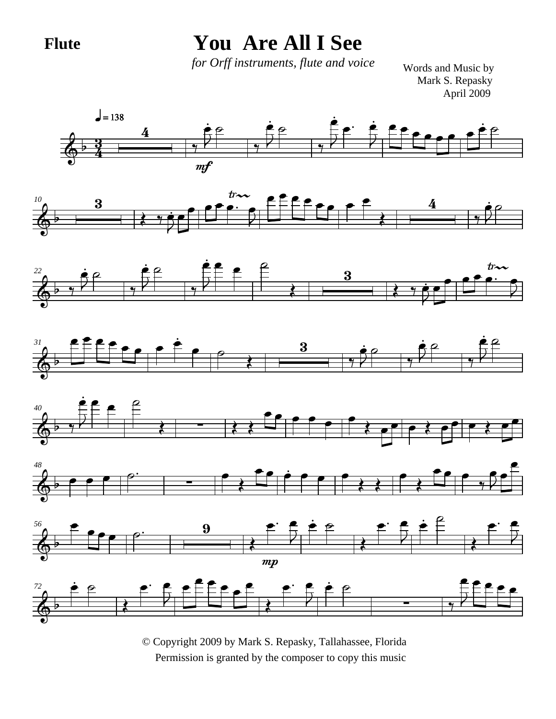**Flute**

## **You Are All I See**

*for Orff instruments, flute and voice*

Mark S. Repasky April 2009 Words and Music by

















© Copyright 2009 by Mark S. Repasky, Tallahassee, Florida Permission is granted by the composer to copy this music